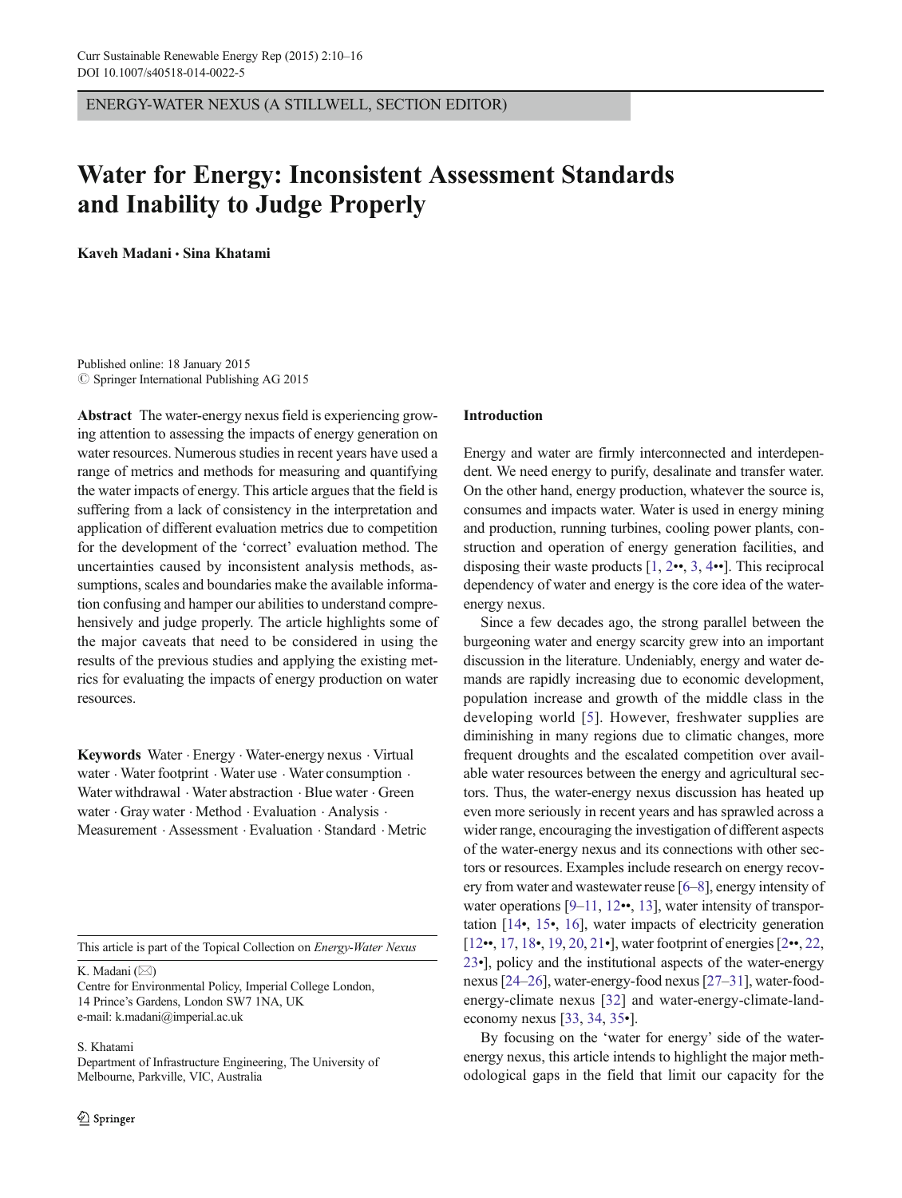ENERGY-WATER NEXUS (A STILLWELL, SECTION EDITOR)

# Water for Energy: Inconsistent Assessment Standards and Inability to Judge Properly

Kaveh Madani & Sina Khatami

Published online: 18 January 2015  $\oslash$  Springer International Publishing AG 2015

Abstract The water-energy nexus field is experiencing growing attention to assessing the impacts of energy generation on water resources. Numerous studies in recent years have used a range of metrics and methods for measuring and quantifying the water impacts of energy. This article argues that the field is suffering from a lack of consistency in the interpretation and application of different evaluation metrics due to competition for the development of the 'correct' evaluation method. The uncertainties caused by inconsistent analysis methods, assumptions, scales and boundaries make the available information confusing and hamper our abilities to understand comprehensively and judge properly. The article highlights some of the major caveats that need to be considered in using the results of the previous studies and applying the existing metrics for evaluating the impacts of energy production on water resources.

Keywords Water . Energy . Water-energy nexus . Virtual water  $\cdot$  Water footprint  $\cdot$  Water use  $\cdot$  Water consumption  $\cdot$ Water withdrawal . Water abstraction . Blue water . Green water . Gray water . Method . Evaluation . Analysis . Measurement . Assessment . Evaluation . Standard . Metric

This article is part of the Topical Collection on Energy-Water Nexus

K. Madani  $(\boxtimes)$ 

S. Khatami

## Introduction

Energy and water are firmly interconnected and interdependent. We need energy to purify, desalinate and transfer water. On the other hand, energy production, whatever the source is, consumes and impacts water. Water is used in energy mining and production, running turbines, cooling power plants, construction and operation of energy generation facilities, and disposing their waste products [[1,](#page-4-0) [2](#page-4-0)••, [3](#page-4-0), [4](#page-4-0)••]. This reciprocal dependency of water and energy is the core idea of the waterenergy nexus.

Since a few decades ago, the strong parallel between the burgeoning water and energy scarcity grew into an important discussion in the literature. Undeniably, energy and water demands are rapidly increasing due to economic development, population increase and growth of the middle class in the developing world [\[5\]](#page-4-0). However, freshwater supplies are diminishing in many regions due to climatic changes, more frequent droughts and the escalated competition over available water resources between the energy and agricultural sectors. Thus, the water-energy nexus discussion has heated up even more seriously in recent years and has sprawled across a wider range, encouraging the investigation of different aspects of the water-energy nexus and its connections with other sectors or resources. Examples include research on energy recovery from water and wastewater reuse [[6](#page-4-0)–[8\]](#page-4-0), energy intensity of water operations [\[9](#page-4-0)–[11](#page-4-0), [12](#page-4-0)••, [13](#page-4-0)], water intensity of transportation [[14](#page-4-0)•, [15](#page-4-0)•, [16\]](#page-4-0), water impacts of electricity generation [\[12](#page-4-0)••, [17,](#page-4-0) [18](#page-5-0)•, [19](#page-5-0), [20](#page-5-0), [21](#page-5-0)•], water footprint of energies [\[2](#page-4-0)••, [22,](#page-5-0) [23](#page-5-0)•], policy and the institutional aspects of the water-energy nexus [[24](#page-5-0)–[26](#page-5-0)], water-energy-food nexus [\[27](#page-5-0)–[31](#page-5-0)], water-foodenergy-climate nexus [\[32](#page-5-0)] and water-energy-climate-landeconomy nexus [\[33,](#page-5-0) [34,](#page-5-0) [35](#page-5-0)•].

By focusing on the 'water for energy' side of the waterenergy nexus, this article intends to highlight the major methodological gaps in the field that limit our capacity for the

Centre for Environmental Policy, Imperial College London, 14 Prince's Gardens, London SW7 1NA, UK e-mail: k.madani@imperial.ac.uk

Department of Infrastructure Engineering, The University of Melbourne, Parkville, VIC, Australia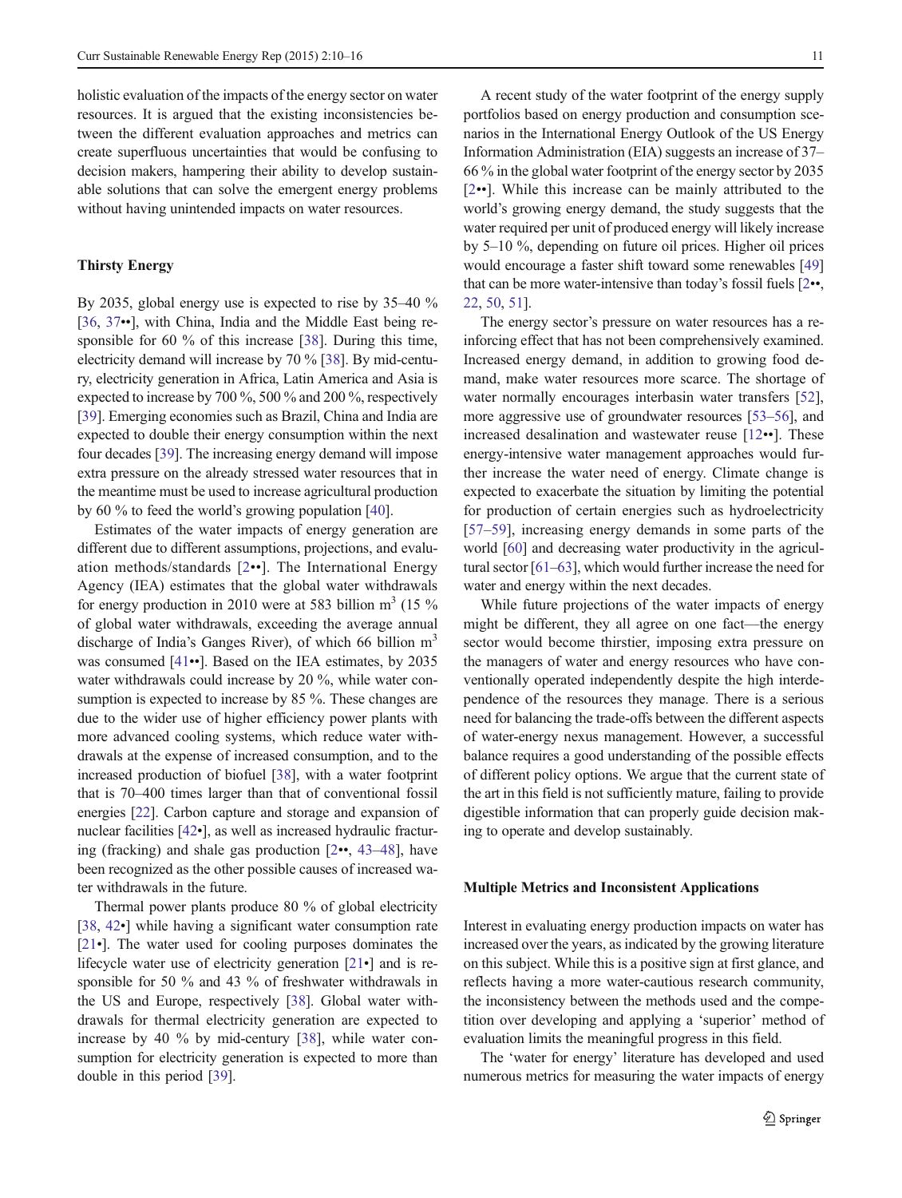holistic evaluation of the impacts of the energy sector on water resources. It is argued that the existing inconsistencies between the different evaluation approaches and metrics can create superfluous uncertainties that would be confusing to decision makers, hampering their ability to develop sustainable solutions that can solve the emergent energy problems without having unintended impacts on water resources.

## Thirsty Energy

By 2035, global energy use is expected to rise by 35–40 % [\[36,](#page-5-0) [37](#page-5-0)••], with China, India and the Middle East being re-sponsible for 60 % of this increase [[38\]](#page-5-0). During this time, electricity demand will increase by 70 % [\[38\]](#page-5-0). By mid-century, electricity generation in Africa, Latin America and Asia is expected to increase by 700 %, 500 % and 200 %, respectively [\[39\]](#page-5-0). Emerging economies such as Brazil, China and India are expected to double their energy consumption within the next four decades [\[39](#page-5-0)]. The increasing energy demand will impose extra pressure on the already stressed water resources that in the meantime must be used to increase agricultural production by 60 % to feed the world's growing population [[40](#page-5-0)].

Estimates of the water impacts of energy generation are different due to different assumptions, projections, and evaluation methods/standards [[2](#page-4-0)••]. The International Energy Agency (IEA) estimates that the global water withdrawals for energy production in 2010 were at 583 billion  $m<sup>3</sup>$  (15 %) of global water withdrawals, exceeding the average annual discharge of India's Ganges River), of which 66 billion  $m<sup>3</sup>$ was consumed [\[41](#page-5-0)••]. Based on the IEA estimates, by 2035 water withdrawals could increase by 20 %, while water consumption is expected to increase by 85 %. These changes are due to the wider use of higher efficiency power plants with more advanced cooling systems, which reduce water withdrawals at the expense of increased consumption, and to the increased production of biofuel [\[38](#page-5-0)], with a water footprint that is 70–400 times larger than that of conventional fossil energies [[22](#page-5-0)]. Carbon capture and storage and expansion of nuclear facilities [[42](#page-5-0)•], as well as increased hydraulic fracturing (fracking) and shale gas production [\[2](#page-4-0)••, [43](#page-5-0)–[48](#page-5-0)], have been recognized as the other possible causes of increased water withdrawals in the future.

Thermal power plants produce 80 % of global electricity [\[38,](#page-5-0) [42](#page-5-0)•] while having a significant water consumption rate [\[21](#page-5-0)•]. The water used for cooling purposes dominates the lifecycle water use of electricity generation [[21](#page-5-0)•] and is responsible for 50 % and 43 % of freshwater withdrawals in the US and Europe, respectively [\[38\]](#page-5-0). Global water withdrawals for thermal electricity generation are expected to increase by 40 % by mid-century [\[38](#page-5-0)], while water consumption for electricity generation is expected to more than double in this period [[39](#page-5-0)].

A recent study of the water footprint of the energy supply portfolios based on energy production and consumption scenarios in the International Energy Outlook of the US Energy Information Administration (EIA) suggests an increase of 37– 66 % in the global water footprint of the energy sector by 2035 [\[2](#page-4-0)••]. While this increase can be mainly attributed to the world's growing energy demand, the study suggests that the water required per unit of produced energy will likely increase by 5–10 %, depending on future oil prices. Higher oil prices would encourage a faster shift toward some renewables [\[49](#page-5-0)] that can be more water-intensive than today's fossil fuels [\[2](#page-4-0)••, [22,](#page-5-0) [50,](#page-5-0) [51\]](#page-5-0).

The energy sector's pressure on water resources has a reinforcing effect that has not been comprehensively examined. Increased energy demand, in addition to growing food demand, make water resources more scarce. The shortage of water normally encourages interbasin water transfers [[52\]](#page-5-0), more aggressive use of groundwater resources [[53](#page-5-0)–[56](#page-6-0)], and increased desalination and wastewater reuse [[12](#page-4-0)••]. These energy-intensive water management approaches would further increase the water need of energy. Climate change is expected to exacerbate the situation by limiting the potential for production of certain energies such as hydroelectricity [\[57](#page-6-0)–[59\]](#page-6-0), increasing energy demands in some parts of the world [\[60\]](#page-6-0) and decreasing water productivity in the agricultural sector [[61](#page-6-0)–[63](#page-6-0)], which would further increase the need for water and energy within the next decades.

While future projections of the water impacts of energy might be different, they all agree on one fact—the energy sector would become thirstier, imposing extra pressure on the managers of water and energy resources who have conventionally operated independently despite the high interdependence of the resources they manage. There is a serious need for balancing the trade-offs between the different aspects of water-energy nexus management. However, a successful balance requires a good understanding of the possible effects of different policy options. We argue that the current state of the art in this field is not sufficiently mature, failing to provide digestible information that can properly guide decision making to operate and develop sustainably.

#### Multiple Metrics and Inconsistent Applications

Interest in evaluating energy production impacts on water has increased over the years, as indicated by the growing literature on this subject. While this is a positive sign at first glance, and reflects having a more water-cautious research community, the inconsistency between the methods used and the competition over developing and applying a 'superior' method of evaluation limits the meaningful progress in this field.

The 'water for energy' literature has developed and used numerous metrics for measuring the water impacts of energy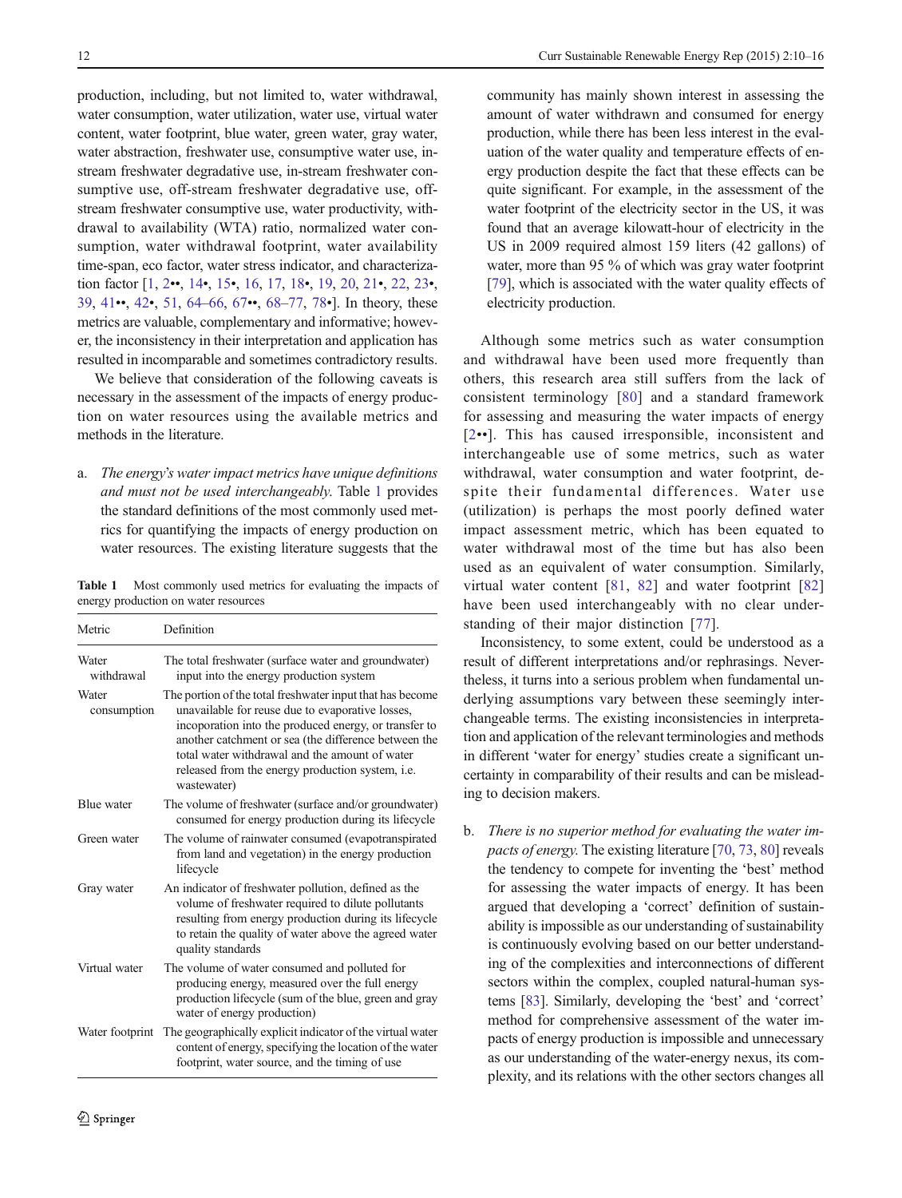production, including, but not limited to, water withdrawal, water consumption, water utilization, water use, virtual water content, water footprint, blue water, green water, gray water, water abstraction, freshwater use, consumptive water use, instream freshwater degradative use, in-stream freshwater consumptive use, off-stream freshwater degradative use, offstream freshwater consumptive use, water productivity, withdrawal to availability (WTA) ratio, normalized water consumption, water withdrawal footprint, water availability time-span, eco factor, water stress indicator, and characterization factor [\[1](#page-4-0), [2](#page-4-0)••, [14](#page-4-0)•, [15](#page-4-0)•, [16,](#page-4-0) [17](#page-4-0), [18](#page-5-0)•, [19,](#page-5-0) [20,](#page-5-0) [21](#page-5-0)•, [22](#page-5-0), [23](#page-5-0)•, [39,](#page-5-0) [41](#page-5-0)••, [42](#page-5-0)•, [51,](#page-5-0) [64](#page-6-0)–[66,](#page-6-0) [67](#page-6-0)••, [68](#page-6-0)–[77](#page-6-0), [78](#page-6-0)•]. In theory, these metrics are valuable, complementary and informative; however, the inconsistency in their interpretation and application has resulted in incomparable and sometimes contradictory results.

We believe that consideration of the following caveats is necessary in the assessment of the impacts of energy production on water resources using the available metrics and methods in the literature.

a. The energy's water impact metrics have unique definitions and must not be used interchangeably. Table 1 provides the standard definitions of the most commonly used metrics for quantifying the impacts of energy production on water resources. The existing literature suggests that the

Table 1 Most commonly used metrics for evaluating the impacts of energy production on water resources

| Metric               | Definition                                                                                                                                                                                                                                                                                                                                                 |
|----------------------|------------------------------------------------------------------------------------------------------------------------------------------------------------------------------------------------------------------------------------------------------------------------------------------------------------------------------------------------------------|
| Water<br>withdrawal  | The total freshwater (surface water and groundwater)<br>input into the energy production system                                                                                                                                                                                                                                                            |
| Water<br>consumption | The portion of the total freshwater input that has become<br>unavailable for reuse due to evaporative losses,<br>incoporation into the produced energy, or transfer to<br>another catchment or sea (the difference between the<br>total water withdrawal and the amount of water<br>released from the energy production system, <i>i.e.</i><br>wastewater) |
| Blue water           | The volume of freshwater (surface and/or groundwater)<br>consumed for energy production during its lifecycle                                                                                                                                                                                                                                               |
| Green water          | The volume of rainwater consumed (evapotranspirated<br>from land and vegetation) in the energy production<br>lifecycle                                                                                                                                                                                                                                     |
| Gray water           | An indicator of freshwater pollution, defined as the<br>volume of freshwater required to dilute pollutants<br>resulting from energy production during its lifecycle<br>to retain the quality of water above the agreed water<br>quality standards                                                                                                          |
| Virtual water        | The volume of water consumed and polluted for<br>producing energy, measured over the full energy<br>production lifecycle (sum of the blue, green and gray<br>water of energy production)                                                                                                                                                                   |
| Water footprint      | The geographically explicit indicator of the virtual water<br>content of energy, specifying the location of the water<br>footprint, water source, and the timing of use                                                                                                                                                                                    |

community has mainly shown interest in assessing the amount of water withdrawn and consumed for energy production, while there has been less interest in the evaluation of the water quality and temperature effects of energy production despite the fact that these effects can be quite significant. For example, in the assessment of the water footprint of the electricity sector in the US, it was found that an average kilowatt-hour of electricity in the US in 2009 required almost 159 liters (42 gallons) of water, more than 95 % of which was gray water footprint [[79\]](#page-6-0), which is associated with the water quality effects of electricity production.

Although some metrics such as water consumption and withdrawal have been used more frequently than others, this research area still suffers from the lack of consistent terminology [[80](#page-6-0)] and a standard framework for assessing and measuring the water impacts of energy [[2](#page-4-0)••]. This has caused irresponsible, inconsistent and interchangeable use of some metrics, such as water withdrawal, water consumption and water footprint, despite their fundamental differences. Water use (utilization) is perhaps the most poorly defined water impact assessment metric, which has been equated to water withdrawal most of the time but has also been used as an equivalent of water consumption. Similarly, virtual water content [\[81,](#page-6-0) [82](#page-6-0)] and water footprint [[82](#page-6-0)] have been used interchangeably with no clear understanding of their major distinction [\[77\]](#page-6-0).

Inconsistency, to some extent, could be understood as a result of different interpretations and/or rephrasings. Nevertheless, it turns into a serious problem when fundamental underlying assumptions vary between these seemingly interchangeable terms. The existing inconsistencies in interpretation and application of the relevant terminologies and methods in different 'water for energy' studies create a significant uncertainty in comparability of their results and can be misleading to decision makers.

b. There is no superior method for evaluating the water impacts of energy. The existing literature [\[70](#page-6-0), [73,](#page-6-0) [80\]](#page-6-0) reveals the tendency to compete for inventing the 'best' method for assessing the water impacts of energy. It has been argued that developing a 'correct' definition of sustainability is impossible as our understanding of sustainability is continuously evolving based on our better understanding of the complexities and interconnections of different sectors within the complex, coupled natural-human systems [\[83\]](#page-6-0). Similarly, developing the 'best' and 'correct' method for comprehensive assessment of the water impacts of energy production is impossible and unnecessary as our understanding of the water-energy nexus, its complexity, and its relations with the other sectors changes all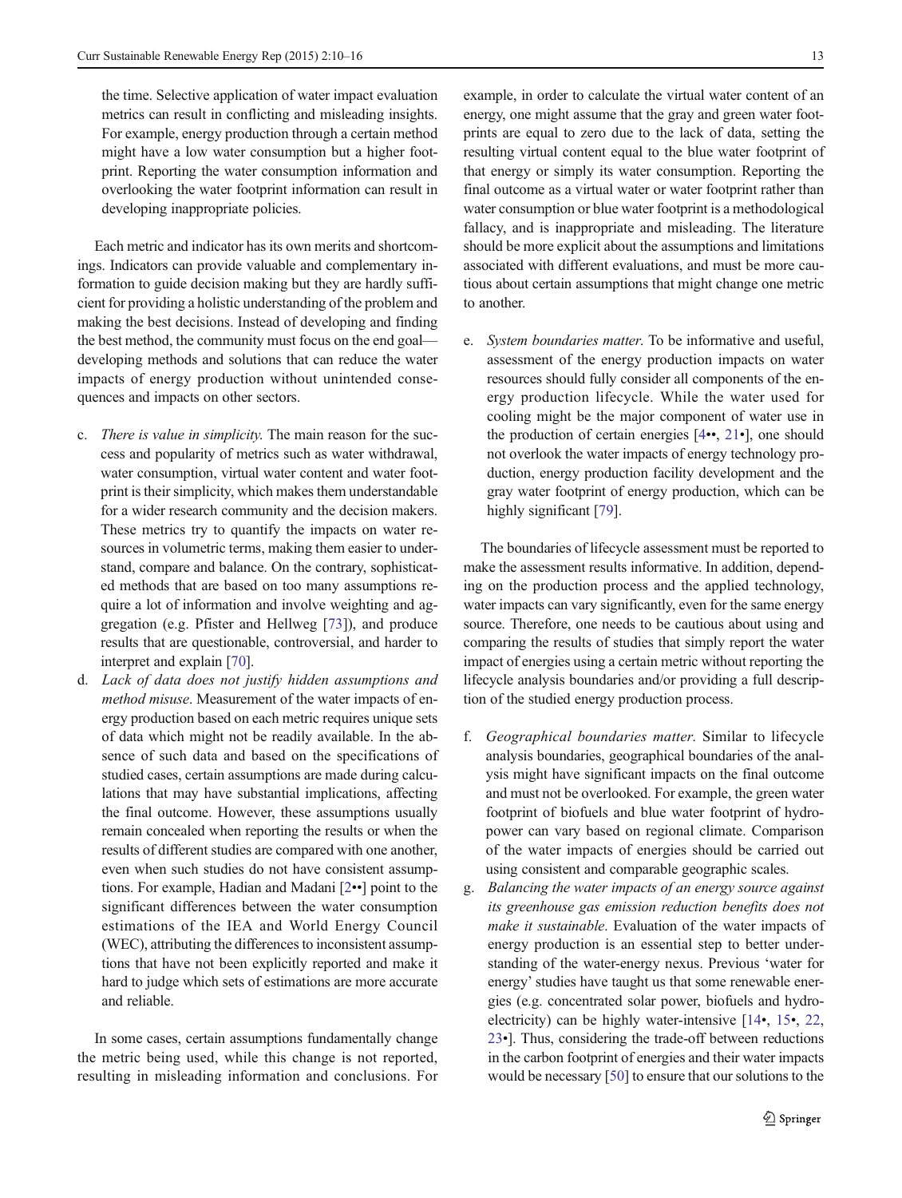the time. Selective application of water impact evaluation metrics can result in conflicting and misleading insights. For example, energy production through a certain method might have a low water consumption but a higher footprint. Reporting the water consumption information and overlooking the water footprint information can result in developing inappropriate policies.

Each metric and indicator has its own merits and shortcomings. Indicators can provide valuable and complementary information to guide decision making but they are hardly sufficient for providing a holistic understanding of the problem and making the best decisions. Instead of developing and finding the best method, the community must focus on the end goal developing methods and solutions that can reduce the water impacts of energy production without unintended consequences and impacts on other sectors.

- c. There is value in simplicity. The main reason for the success and popularity of metrics such as water withdrawal, water consumption, virtual water content and water footprint is their simplicity, which makes them understandable for a wider research community and the decision makers. These metrics try to quantify the impacts on water resources in volumetric terms, making them easier to understand, compare and balance. On the contrary, sophisticated methods that are based on too many assumptions require a lot of information and involve weighting and aggregation (e.g. Pfister and Hellweg [[73](#page-6-0)]), and produce results that are questionable, controversial, and harder to interpret and explain [[70](#page-6-0)].
- d. Lack of data does not justify hidden assumptions and method misuse. Measurement of the water impacts of energy production based on each metric requires unique sets of data which might not be readily available. In the absence of such data and based on the specifications of studied cases, certain assumptions are made during calculations that may have substantial implications, affecting the final outcome. However, these assumptions usually remain concealed when reporting the results or when the results of different studies are compared with one another, even when such studies do not have consistent assumptions. For example, Hadian and Madani [\[2](#page-4-0)••] point to the significant differences between the water consumption estimations of the IEA and World Energy Council (WEC), attributing the differences to inconsistent assumptions that have not been explicitly reported and make it hard to judge which sets of estimations are more accurate and reliable.

In some cases, certain assumptions fundamentally change the metric being used, while this change is not reported, resulting in misleading information and conclusions. For

example, in order to calculate the virtual water content of an energy, one might assume that the gray and green water footprints are equal to zero due to the lack of data, setting the resulting virtual content equal to the blue water footprint of that energy or simply its water consumption. Reporting the final outcome as a virtual water or water footprint rather than water consumption or blue water footprint is a methodological fallacy, and is inappropriate and misleading. The literature should be more explicit about the assumptions and limitations associated with different evaluations, and must be more cautious about certain assumptions that might change one metric to another.

e. System boundaries matter. To be informative and useful, assessment of the energy production impacts on water resources should fully consider all components of the energy production lifecycle. While the water used for cooling might be the major component of water use in the production of certain energies [\[4](#page-4-0)••, [21](#page-5-0)•], one should not overlook the water impacts of energy technology production, energy production facility development and the gray water footprint of energy production, which can be highly significant [\[79](#page-6-0)].

The boundaries of lifecycle assessment must be reported to make the assessment results informative. In addition, depending on the production process and the applied technology, water impacts can vary significantly, even for the same energy source. Therefore, one needs to be cautious about using and comparing the results of studies that simply report the water impact of energies using a certain metric without reporting the lifecycle analysis boundaries and/or providing a full description of the studied energy production process.

- f. Geographical boundaries matter. Similar to lifecycle analysis boundaries, geographical boundaries of the analysis might have significant impacts on the final outcome and must not be overlooked. For example, the green water footprint of biofuels and blue water footprint of hydropower can vary based on regional climate. Comparison of the water impacts of energies should be carried out using consistent and comparable geographic scales.
- g. Balancing the water impacts of an energy source against its greenhouse gas emission reduction benefits does not make it sustainable. Evaluation of the water impacts of energy production is an essential step to better understanding of the water-energy nexus. Previous 'water for energy' studies have taught us that some renewable energies (e.g. concentrated solar power, biofuels and hydroelectricity) can be highly water-intensive [\[14](#page-4-0)•, [15](#page-4-0)•, [22,](#page-5-0) [23](#page-5-0)•]. Thus, considering the trade-off between reductions in the carbon footprint of energies and their water impacts would be necessary [[50](#page-5-0)] to ensure that our solutions to the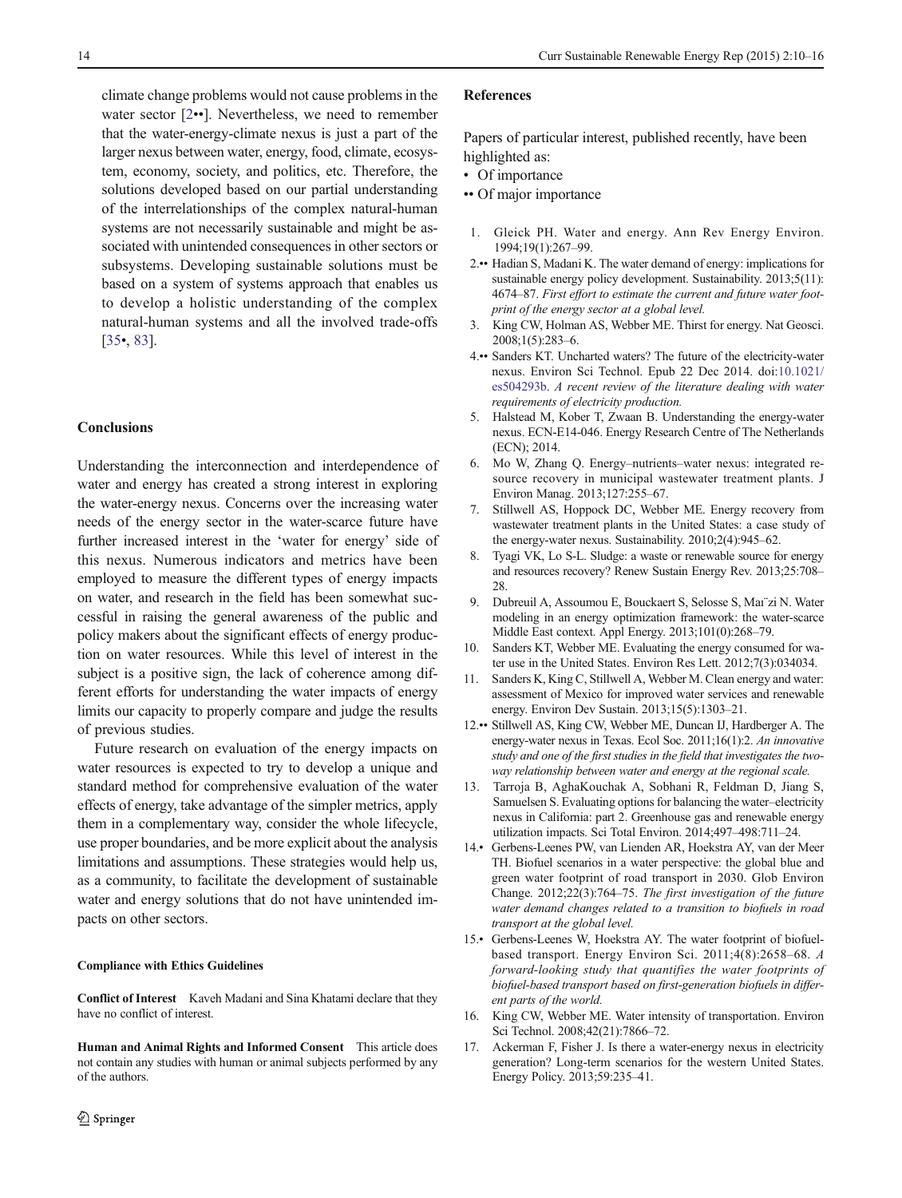<span id="page-4-0"></span>climate change problems would not cause problems in the water sector [2••]. Nevertheless, we need to remember that the water-energy-climate nexus is just a part of the larger nexus between water, energy, food, climate, ecosystem, economy, society, and politics, etc. Therefore, the solutions developed based on our partial understanding of the interrelationships of the complex natural-human systems are not necessarily sustainable and might be associated with unintended consequences in other sectors or subsystems. Developing sustainable solutions must be based on a system of systems approach that enables us to develop a holistic understanding of the complex natural-human systems and all the involved trade-offs [\[35](#page-5-0)•, [83](#page-6-0)].

## **Conclusions**

Understanding the interconnection and interdependence of water and energy has created a strong interest in exploring the water-energy nexus. Concerns over the increasing water needs of the energy sector in the water-scarce future have further increased interest in the 'water for energy' side of this nexus. Numerous indicators and metrics have been employed to measure the different types of energy impacts on water, and research in the field has been somewhat successful in raising the general awareness of the public and policy makers about the significant effects of energy production on water resources. While this level of interest in the subject is a positive sign, the lack of coherence among different efforts for understanding the water impacts of energy limits our capacity to properly compare and judge the results of previous studies.

Future research on evaluation of the energy impacts on water resources is expected to try to develop a unique and standard method for comprehensive evaluation of the water effects of energy, take advantage of the simpler metrics, apply them in a complementary way, consider the whole lifecycle, use proper boundaries, and be more explicit about the analysis limitations and assumptions. These strategies would help us, as a community, to facilitate the development of sustainable water and energy solutions that do not have unintended impacts on other sectors.

### Compliance with Ethics Guidelines

Conflict of Interest Kaveh Madani and Sina Khatami declare that they have no conflict of interest.

Human and Animal Rights and Informed Consent This article does not contain any studies with human or animal subjects performed by any of the authors.

#### References

Papers of particular interest, published recently, have been highlighted as:

- Of importance
- •• Of major importance
- 1. Gleick PH. Water and energy. Ann Rev Energy Environ. 1994;19(1):267–99.
- 2.•• Hadian S, Madani K. The water demand of energy: implications for sustainable energy policy development. Sustainability. 2013;5(11): 4674–87. First effort to estimate the current and future water footprint of the energy sector at a global level.
- 3. King CW, Holman AS, Webber ME. Thirst for energy. Nat Geosci. 2008;1(5):283–6.
- 4.•• Sanders KT. Uncharted waters? The future of the electricity-water nexus. Environ Sci Technol. Epub 22 Dec 2014. doi:[10.1021/](http://dx.doi.org/10.1021/es504293b) [es504293b](http://dx.doi.org/10.1021/es504293b). A recent review of the literature dealing with water requirements of electricity production.
- 5. Halstead M, Kober T, Zwaan B. Understanding the energy-water nexus. ECN-E14-046. Energy Research Centre of The Netherlands (ECN); 2014.
- 6. Mo W, Zhang Q. Energy–nutrients–water nexus: integrated resource recovery in municipal wastewater treatment plants. J Environ Manag. 2013;127:255–67.
- 7. Stillwell AS, Hoppock DC, Webber ME. Energy recovery from wastewater treatment plants in the United States: a case study of the energy-water nexus. Sustainability. 2010;2(4):945–62.
- 8. Tyagi VK, Lo S-L. Sludge: a waste or renewable source for energy and resources recovery? Renew Sustain Energy Rev. 2013;25:708– 28.
- 9. Dubreuil A, Assoumou E, Bouckaert S, Selosse S, Maı¨zi N. Water modeling in an energy optimization framework: the water-scarce Middle East context. Appl Energy. 2013;101(0):268–79.
- 10. Sanders KT, Webber ME. Evaluating the energy consumed for water use in the United States. Environ Res Lett. 2012;7(3):034034.
- 11. Sanders K, King C, Stillwell A, Webber M. Clean energy and water: assessment of Mexico for improved water services and renewable energy. Environ Dev Sustain. 2013;15(5):1303–21.
- 12.•• Stillwell AS, King CW, Webber ME, Duncan IJ, Hardberger A. The energy-water nexus in Texas. Ecol Soc. 2011;16(1):2. An innovative study and one of the first studies in the field that investigates the twoway relationship between water and energy at the regional scale.
- 13. Tarroja B, AghaKouchak A, Sobhani R, Feldman D, Jiang S, Samuelsen S. Evaluating options for balancing the water–electricity nexus in California: part 2. Greenhouse gas and renewable energy utilization impacts. Sci Total Environ. 2014;497–498:711–24.
- 14.• Gerbens-Leenes PW, van Lienden AR, Hoekstra AY, van der Meer TH. Biofuel scenarios in a water perspective: the global blue and green water footprint of road transport in 2030. Glob Environ Change. 2012;22(3):764–75. The first investigation of the future water demand changes related to a transition to biofuels in road transport at the global level.
- 15.• Gerbens-Leenes W, Hoekstra AY. The water footprint of biofuelbased transport. Energy Environ Sci. 2011;4(8):2658–68. A forward-looking study that quantifies the water footprints of biofuel-based transport based on first-generation biofuels in different parts of the world.
- 16. King CW, Webber ME. Water intensity of transportation. Environ Sci Technol. 2008;42(21):7866–72.
- 17. Ackerman F, Fisher J. Is there a water-energy nexus in electricity generation? Long-term scenarios for the western United States. Energy Policy. 2013;59:235–41.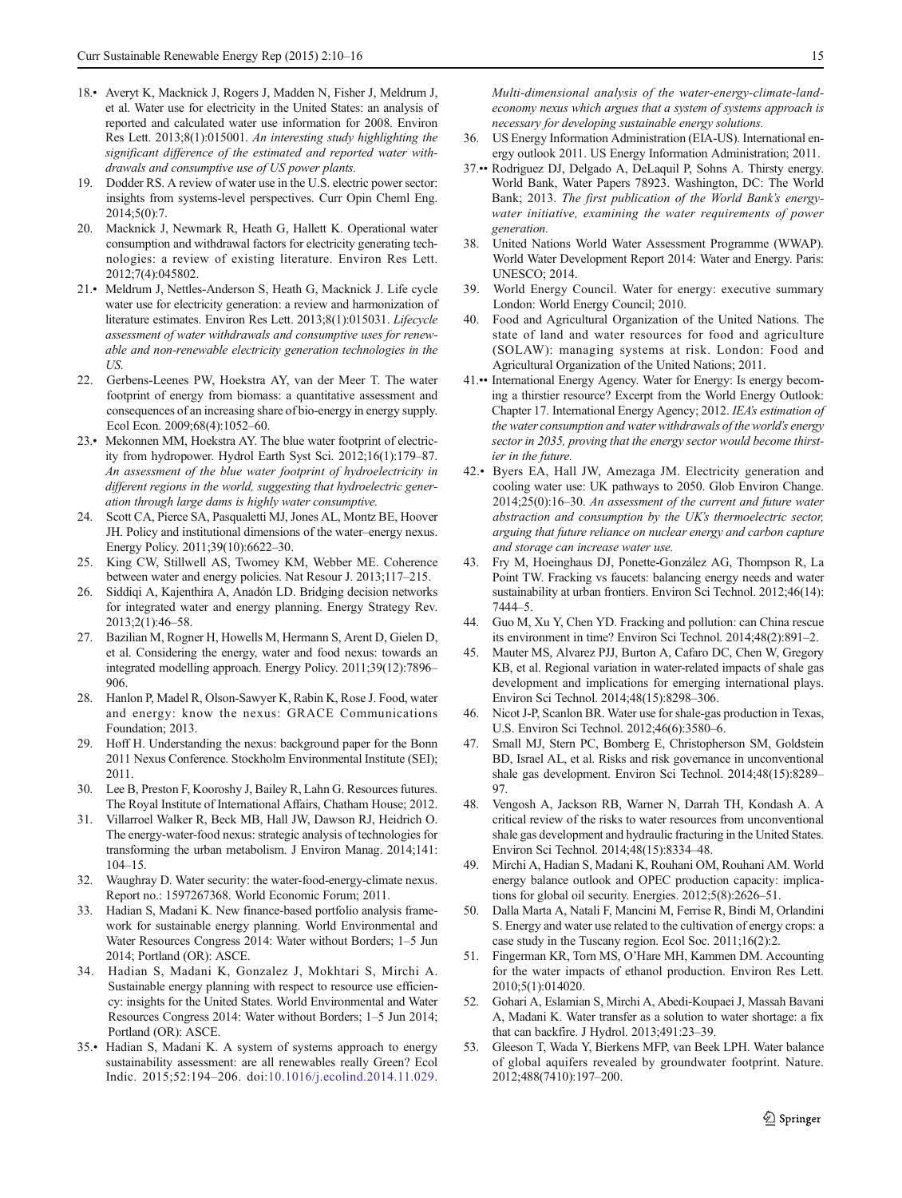- <span id="page-5-0"></span>18.• Averyt K, Macknick J, Rogers J, Madden N, Fisher J, Meldrum J, et al. Water use for electricity in the United States: an analysis of reported and calculated water use information for 2008. Environ Res Lett. 2013;8(1):015001. An interesting study highlighting the significant difference of the estimated and reported water withdrawals and consumptive use of US power plants.
- 19. Dodder RS. A review of water use in the U.S. electric power sector: insights from systems-level perspectives. Curr Opin Cheml Eng. 2014;5(0):7.
- 20. Macknick J, Newmark R, Heath G, Hallett K. Operational water consumption and withdrawal factors for electricity generating technologies: a review of existing literature. Environ Res Lett. 2012;7(4):045802.
- 21.• Meldrum J, Nettles-Anderson S, Heath G, Macknick J. Life cycle water use for electricity generation: a review and harmonization of literature estimates. Environ Res Lett. 2013;8(1):015031. Lifecycle assessment of water withdrawals and consumptive uses for renewable and non-renewable electricity generation technologies in the US.
- 22. Gerbens-Leenes PW, Hoekstra AY, van der Meer T. The water footprint of energy from biomass: a quantitative assessment and consequences of an increasing share of bio-energy in energy supply. Ecol Econ. 2009;68(4):1052–60.
- 23.• Mekonnen MM, Hoekstra AY. The blue water footprint of electricity from hydropower. Hydrol Earth Syst Sci. 2012;16(1):179–87. An assessment of the blue water footprint of hydroelectricity in different regions in the world, suggesting that hydroelectric generation through large dams is highly water consumptive.
- 24. Scott CA, Pierce SA, Pasqualetti MJ, Jones AL, Montz BE, Hoover JH. Policy and institutional dimensions of the water–energy nexus. Energy Policy. 2011;39(10):6622–30.
- 25. King CW, Stillwell AS, Twomey KM, Webber ME. Coherence between water and energy policies. Nat Resour J. 2013;117–215.
- 26. Siddiqi A, Kajenthira A, Anadón LD. Bridging decision networks for integrated water and energy planning. Energy Strategy Rev. 2013;2(1):46–58.
- 27. Bazilian M, Rogner H, Howells M, Hermann S, Arent D, Gielen D, et al. Considering the energy, water and food nexus: towards an integrated modelling approach. Energy Policy. 2011;39(12):7896– 906.
- 28. Hanlon P, Madel R, Olson-Sawyer K, Rabin K, Rose J. Food, water and energy: know the nexus: GRACE Communications Foundation; 2013.
- 29. Hoff H. Understanding the nexus: background paper for the Bonn 2011 Nexus Conference. Stockholm Environmental Institute (SEI); 2011.
- 30. Lee B, Preston F, Kooroshy J, Bailey R, Lahn G. Resources futures. The Royal Institute of International Affairs, Chatham House; 2012.
- 31. Villarroel Walker R, Beck MB, Hall JW, Dawson RJ, Heidrich O. The energy-water-food nexus: strategic analysis of technologies for transforming the urban metabolism. J Environ Manag. 2014;141: 104–15.
- 32. Waughray D. Water security: the water-food-energy-climate nexus. Report no.: 1597267368. World Economic Forum; 2011.
- 33. Hadian S, Madani K. New finance-based portfolio analysis framework for sustainable energy planning. World Environmental and Water Resources Congress 2014: Water without Borders; 1–5 Jun 2014; Portland (OR): ASCE.
- 34. Hadian S, Madani K, Gonzalez J, Mokhtari S, Mirchi A. Sustainable energy planning with respect to resource use efficiency: insights for the United States. World Environmental and Water Resources Congress 2014: Water without Borders; 1–5 Jun 2014; Portland (OR): ASCE.
- 35.• Hadian S, Madani K. A system of systems approach to energy sustainability assessment: are all renewables really Green? Ecol Indic. 2015;52:194–206. doi:[10.1016/j.ecolind.2014.11.029](http://dx.doi.org/10.1016/j.ecolind.2014.11.029).

Multi-dimensional analysis of the water-energy-climate-landeconomy nexus which argues that a system of systems approach is necessary for developing sustainable energy solutions.

- 36. US Energy Information Administration (EIA-US). International energy outlook 2011. US Energy Information Administration; 2011.
- 37.•• Rodriguez DJ, Delgado A, DeLaquil P, Sohns A. Thirsty energy. World Bank, Water Papers 78923. Washington, DC: The World Bank; 2013. The first publication of the World Bank's energywater initiative, examining the water requirements of power generation.
- 38. United Nations World Water Assessment Programme (WWAP). World Water Development Report 2014: Water and Energy. Paris: UNESCO; 2014.
- 39. World Energy Council. Water for energy: executive summary London: World Energy Council; 2010.
- 40. Food and Agricultural Organization of the United Nations. The state of land and water resources for food and agriculture (SOLAW): managing systems at risk. London: Food and Agricultural Organization of the United Nations; 2011.
- 41.•• International Energy Agency. Water for Energy: Is energy becoming a thirstier resource? Excerpt from the World Energy Outlook: Chapter 17. International Energy Agency; 2012. IEA's estimation of the water consumption and water withdrawals of the world's energy sector in 2035, proving that the energy sector would become thirstier in the future.
- 42.• Byers EA, Hall JW, Amezaga JM. Electricity generation and cooling water use: UK pathways to 2050. Glob Environ Change. 2014;25(0):16–30. An assessment of the current and future water abstraction and consumption by the UK's thermoelectric sector, arguing that future reliance on nuclear energy and carbon capture and storage can increase water use.
- 43. Fry M, Hoeinghaus DJ, Ponette-González AG, Thompson R, La Point TW. Fracking vs faucets: balancing energy needs and water sustainability at urban frontiers. Environ Sci Technol. 2012;46(14): 7444–5.
- 44. Guo M, Xu Y, Chen YD. Fracking and pollution: can China rescue its environment in time? Environ Sci Technol. 2014;48(2):891–2.
- 45. Mauter MS, Alvarez PJJ, Burton A, Cafaro DC, Chen W, Gregory KB, et al. Regional variation in water-related impacts of shale gas development and implications for emerging international plays. Environ Sci Technol. 2014;48(15):8298–306.
- 46. Nicot J-P, Scanlon BR. Water use for shale-gas production in Texas, U.S. Environ Sci Technol. 2012;46(6):3580–6.
- 47. Small MJ, Stern PC, Bomberg E, Christopherson SM, Goldstein BD, Israel AL, et al. Risks and risk governance in unconventional shale gas development. Environ Sci Technol. 2014;48(15):8289– 97.
- 48. Vengosh A, Jackson RB, Warner N, Darrah TH, Kondash A. A critical review of the risks to water resources from unconventional shale gas development and hydraulic fracturing in the United States. Environ Sci Technol. 2014;48(15):8334–48.
- 49. Mirchi A, Hadian S, Madani K, Rouhani OM, Rouhani AM. World energy balance outlook and OPEC production capacity: implications for global oil security. Energies. 2012;5(8):2626–51.
- 50. Dalla Marta A, Natali F, Mancini M, Ferrise R, Bindi M, Orlandini S. Energy and water use related to the cultivation of energy crops: a case study in the Tuscany region. Ecol Soc. 2011;16(2):2.
- 51. Fingerman KR, Torn MS, O'Hare MH, Kammen DM. Accounting for the water impacts of ethanol production. Environ Res Lett. 2010;5(1):014020.
- 52. Gohari A, Eslamian S, Mirchi A, Abedi-Koupaei J, Massah Bavani A, Madani K. Water transfer as a solution to water shortage: a fix that can backfire. J Hydrol. 2013;491:23–39.
- 53. Gleeson T, Wada Y, Bierkens MFP, van Beek LPH. Water balance of global aquifers revealed by groundwater footprint. Nature. 2012;488(7410):197–200.